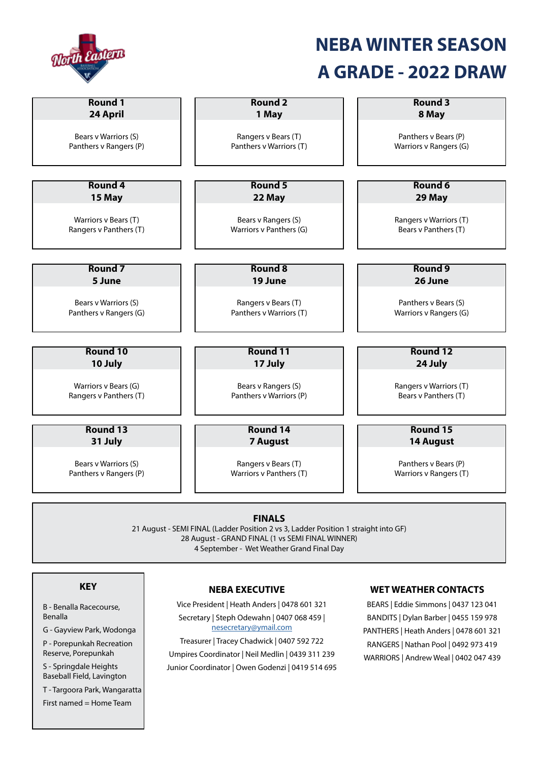

# **NEBA WINTER SEASON A GRADE - 2022 DRAW**

| <b>Round 1</b>         | <b>Round 2</b>          | <b>Round 3</b>         |
|------------------------|-------------------------|------------------------|
| 24 April               | 1 May                   | 8 May                  |
| Bears v Warriors (S)   | Rangers v Bears (T)     | Panthers v Bears (P)   |
| Panthers v Rangers (P) | Panthers v Warriors (T) | Warriors v Rangers (G) |
| <b>Round 4</b>         | Round 5                 | Round 6                |
| 15 May                 | 22 May                  | 29 May                 |
| Warriors v Bears (T)   | Bears v Rangers (S)     | Rangers v Warriors (T) |
| Rangers v Panthers (T) | Warriors v Panthers (G) | Bears v Panthers (T)   |
| Round <sub>7</sub>     | <b>Round 8</b>          | Round 9                |
| 5 June                 | 19 June                 | 26 June                |
| Bears v Warriors (S)   | Rangers v Bears (T)     | Panthers v Bears (S)   |
| Panthers v Rangers (G) | Panthers v Warriors (T) | Warriors v Rangers (G) |
| Round 10               | Round 11                | Round 12               |
| 10 July                | 17 July                 | 24 July                |
| Warriors v Bears (G)   | Bears v Rangers (S)     | Rangers v Warriors (T) |
| Rangers v Panthers (T) | Panthers v Warriors (P) | Bears v Panthers (T)   |
| Round 13               | <b>Round 14</b>         | Round 15               |
| 31 July                | <b>7 August</b>         | <b>14 August</b>       |
| Bears v Warriors (S)   | Rangers v Bears (T)     | Panthers v Bears (P)   |
| Panthers v Rangers (P) | Warriors v Panthers (T) | Warriors v Rangers (T) |

#### **FINALS**

21 August - SEMI FINAL (Ladder Position 2 vs 3, Ladder Position 1 straight into GF) 28 August - GRAND FINAL (1 vs SEMI FINAL WINNER) 4 September - Wet Weather Grand Final Day

## **KEY**

B - Benalla Racecourse, Benalla

G - Gayview Park, Wodonga P - Porepunkah Recreation Reserve, Porepunkah

S - Springdale Heights Baseball Field, Lavington

T - Targoora Park, Wangaratta

First named = Home Team

### **NEBA EXECUTIVE**

Vice President | Heath Anders | 0478 601 321 Secretary | Steph Odewahn | 0407 068 459 |

nesecretary@ymail.com

Treasurer | Tracey Chadwick | 0407 592 722 Umpires Coordinator | Neil Medlin | 0439 311 239 Junior Coordinator | Owen Godenzi | 0419 514 695

### **WET WEATHER CONTACTS**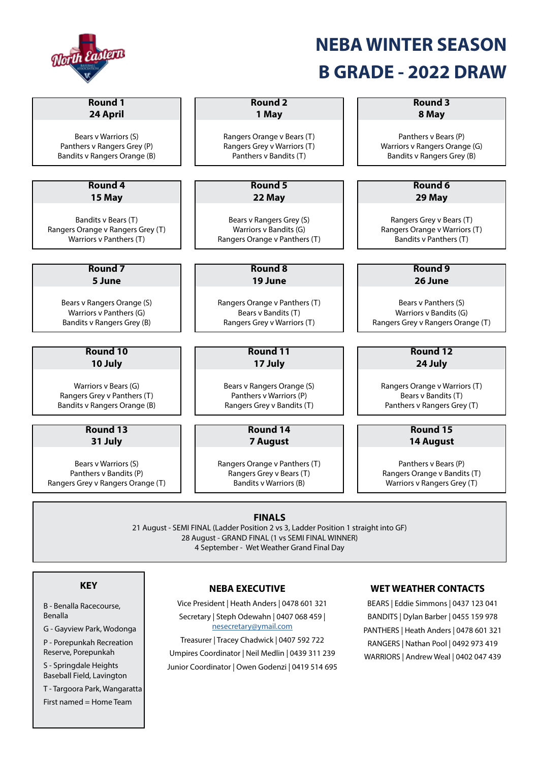

# **NEBA WINTER SEASON B GRADE - 2022 DRAW**

| <b>Round 1</b>                    | <b>Round 2</b>                | Round 3                           |
|-----------------------------------|-------------------------------|-----------------------------------|
| 24 April                          | 1 May                         | 8 May                             |
| Bears v Warriors (S)              | Rangers Orange v Bears (T)    | Panthers v Bears (P)              |
| Panthers v Rangers Grey (P)       | Rangers Grey v Warriors (T)   | Warriors v Rangers Orange (G)     |
| Bandits v Rangers Orange (B)      | Panthers v Bandits (T)        | Bandits v Rangers Grey (B)        |
| <b>Round 4</b>                    | Round 5                       | Round 6                           |
| 15 May                            | 22 May                        | 29 May                            |
| Bandits v Bears (T)               | Bears v Rangers Grey (S)      | Rangers Grey v Bears (T)          |
| Rangers Orange v Rangers Grey (T) | Warriors v Bandits (G)        | Rangers Orange v Warriors (T)     |
| Warriors v Panthers (T)           | Rangers Orange v Panthers (T) | Bandits y Panthers (T)            |
| Round <sub>7</sub>                | <b>Round 8</b>                | <b>Round 9</b>                    |
| 5 June                            | 19 June                       | 26 June                           |
| Bears v Rangers Orange (S)        | Rangers Orange v Panthers (T) | Bears v Panthers (S)              |
| Warriors v Panthers (G)           | Bears v Bandits (T)           | Warriors v Bandits (G)            |
| Bandits v Rangers Grey (B)        | Rangers Grey v Warriors (T)   | Rangers Grey v Rangers Orange (T) |
| Round 10                          | <b>Round 11</b>               | Round 12                          |
| 10 July                           | 17 July                       | 24 July                           |
| Warriors v Bears (G)              | Bears v Rangers Orange (S)    | Rangers Orange v Warriors (T)     |
| Rangers Grey v Panthers (T)       | Panthers v Warriors (P)       | Bears v Bandits (T)               |
| Bandits v Rangers Orange (B)      | Rangers Grey v Bandits (T)    | Panthers v Rangers Grey (T)       |
| Round 13                          | <b>Round 14</b>               | Round 15                          |
| 31 July                           | <b>7 August</b>               | <b>14 August</b>                  |
| Bears v Warriors (S)              | Rangers Orange v Panthers (T) | Panthers v Bears (P)              |
| Panthers v Bandits (P)            | Rangers Grey v Bears (T)      | Rangers Orange v Bandits (T)      |
| Rangers Grey v Rangers Orange (T) | Bandits v Warriors (B)        | Warriors v Rangers Grey (T)       |

### **FINALS**

21 August - SEMI FINAL (Ladder Position 2 vs 3, Ladder Position 1 straight into GF) 28 August - GRAND FINAL (1 vs SEMI FINAL WINNER) 4 September - Wet Weather Grand Final Day

## **KEY**

B - Benalla Racecourse, Benalla

G - Gayview Park, Wodonga P - Porepunkah Recreation

Reserve, Porepunkah

S - Springdale Heights Baseball Field, Lavington

T - Targoora Park, Wangaratta

First named = Home Team

## **NEBA EXECUTIVE**

Vice President | Heath Anders | 0478 601 321 Secretary | Steph Odewahn | 0407 068 459 | nesecretary@ymail.com Treasurer | Tracey Chadwick | 0407 592 722 Umpires Coordinator | Neil Medlin | 0439 311 239 Junior Coordinator | Owen Godenzi | 0419 514 695

## **WET WEATHER CONTACTS**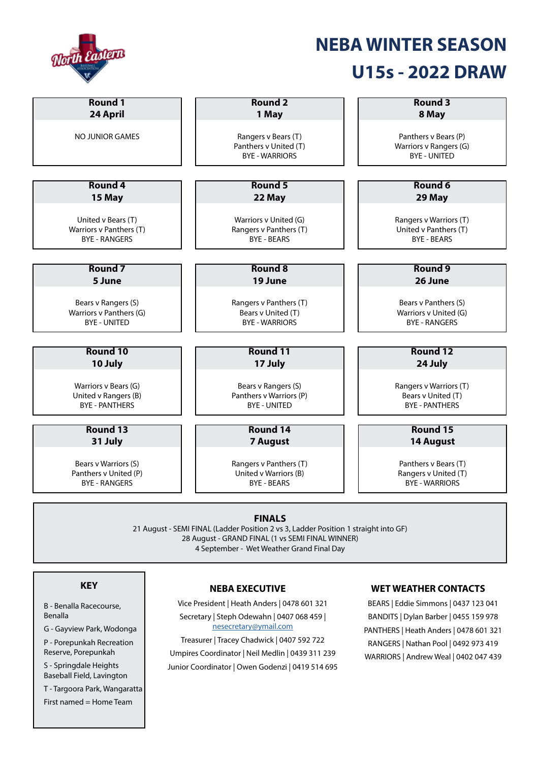| Worth Eastern |
|---------------|
|---------------|

# **NEBA WINTER SEASON U15s - 2022 DRAW**

| <b>Round 1</b>          | <b>Round 2</b>                                                        | <b>Round 3</b>                                                        |
|-------------------------|-----------------------------------------------------------------------|-----------------------------------------------------------------------|
| 24 April                | 1 May                                                                 | 8 May                                                                 |
| <b>NO JUNIOR GAMES</b>  | Rangers v Bears (T)<br>Panthers v United (T)<br><b>BYE - WARRIORS</b> | Panthers v Bears (P)<br>Warriors v Rangers (G)<br><b>BYE - UNITED</b> |
| <b>Round 4</b>          | Round 5                                                               | Round 6                                                               |
| 15 May                  | 22 May                                                                | 29 May                                                                |
| United v Bears (T)      | Warriors v United (G)                                                 | Rangers v Warriors (T)                                                |
| Warriors v Panthers (T) | Rangers v Panthers (T)                                                | United v Panthers (T)                                                 |
| <b>BYE - RANGERS</b>    | <b>BYE - BEARS</b>                                                    | <b>BYE - BEARS</b>                                                    |
| Round <sub>7</sub>      | <b>Round 8</b>                                                        | Round 9                                                               |
| 5 June                  | 19 June                                                               | 26 June                                                               |
| Bears v Rangers (S)     | Rangers v Panthers (T)                                                | Bears v Panthers (S)                                                  |
| Warriors v Panthers (G) | Bears v United (T)                                                    | Warriors v United (G)                                                 |
| <b>BYE - UNITED</b>     | <b>BYE - WARRIORS</b>                                                 | <b>BYE - RANGERS</b>                                                  |
| Round 10                | Round 11                                                              | <b>Round 12</b>                                                       |
| 10 July                 | 17 July                                                               | 24 July                                                               |
| Warriors v Bears (G)    | Bears v Rangers (S)                                                   | Rangers v Warriors (T)                                                |
| United v Rangers (B)    | Panthers v Warriors (P)                                               | Bears v United (T)                                                    |
| <b>BYE - PANTHERS</b>   | <b>BYE - UNITED</b>                                                   | <b>BYE - PANTHERS</b>                                                 |
| Round 13                | Round 14                                                              | Round 15                                                              |
| 31 July                 | <b>7 August</b>                                                       | 14 August                                                             |
| Bears v Warriors (S)    | Rangers v Panthers (T)                                                | Panthers v Bears (T)                                                  |
| Panthers v United (P)   | United v Warriors (B)                                                 | Rangers v United (T)                                                  |
| <b>BYE - RANGERS</b>    | <b>BYE - BEARS</b>                                                    | <b>BYE - WARRIORS</b>                                                 |

#### **FINALS**

21 August - SEMI FINAL (Ladder Position 2 vs 3, Ladder Position 1 straight into GF) 28 August - GRAND FINAL (1 vs SEMI FINAL WINNER) 4 September - Wet Weather Grand Final Day

## **KEY**

B - Benalla Racecourse, Benalla

G - Gayview Park, Wodonga

P - Porepunkah Recreation Reserve, Porepunkah

S - Springdale Heights Baseball Field, Lavington

T - Targoora Park, Wangaratta

First named = Home Team

## **NEBA EXECUTIVE**

Vice President | Heath Anders | 0478 601 321 Secretary | Steph Odewahn | 0407 068 459 | nesecretary@ymail.com Treasurer | Tracey Chadwick | 0407 592 722 Umpires Coordinator | Neil Medlin | 0439 311 239 Junior Coordinator | Owen Godenzi | 0419 514 695

#### **WET WEATHER CONTACTS**